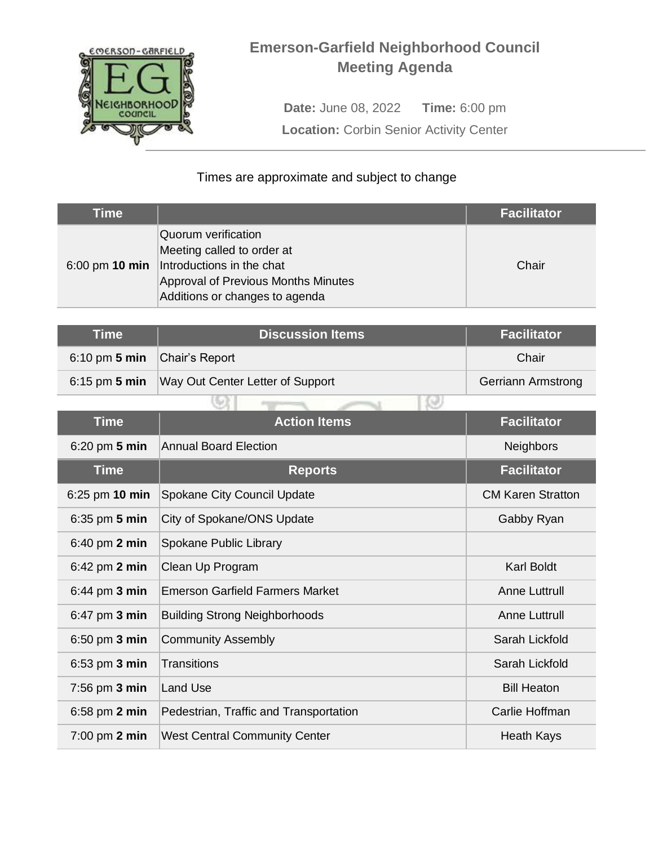

## **Emerson-Garfield Neighborhood Council Meeting Agenda**

**Date:** June 08, 2022 **Time:** 6:00 pm **Location: Corbin Senior Activity Center** 

## Times are approximate and subject to change

| Time |                                                                                                                                                                          | <b>Facilitator</b> |
|------|--------------------------------------------------------------------------------------------------------------------------------------------------------------------------|--------------------|
|      | Quorum verification<br>Meeting called to order at<br>6:00 pm 10 min   Introductions in the chat<br>Approval of Previous Months Minutes<br>Additions or changes to agenda | Chair              |

| Time                         | <b>Discussion Items</b>                          | <b>Facilitator</b>        |
|------------------------------|--------------------------------------------------|---------------------------|
| 6:10 pm 5 min Chair's Report |                                                  | Chair                     |
|                              | 6:15 pm 5 min   Way Out Center Letter of Support | <b>Gerriann Armstrong</b> |
|                              |                                                  |                           |

| <b>Time</b>                      | <b>Action Items</b>                    | <b>Facilitator</b>       |
|----------------------------------|----------------------------------------|--------------------------|
| $6:20$ pm $5$ min                | <b>Annual Board Election</b>           | <b>Neighbors</b>         |
| <b>Time</b>                      | <b>Reports</b>                         | <b>Facilitator</b>       |
| 6:25 pm 10 min                   | Spokane City Council Update            | <b>CM Karen Stratton</b> |
| $6:35$ pm 5 min                  | City of Spokane/ONS Update             | Gabby Ryan               |
| $6:40$ pm $2$ min                | Spokane Public Library                 |                          |
| $6:42 \text{ pm } 2 \text{ min}$ | Clean Up Program                       | <b>Karl Boldt</b>        |
| $6:44$ pm $3$ min                | <b>Emerson Garfield Farmers Market</b> | <b>Anne Luttrull</b>     |
| $6:47$ pm $3$ min                | <b>Building Strong Neighborhoods</b>   | <b>Anne Luttrull</b>     |
| $6:50$ pm $3$ min                | <b>Community Assembly</b>              | Sarah Lickfold           |
| 6:53 pm 3 min                    | <b>Transitions</b>                     | Sarah Lickfold           |
| 7:56 pm 3 min                    | Land Use                               | <b>Bill Heaton</b>       |
| $6:58$ pm $2$ min                | Pedestrian, Traffic and Transportation | Carlie Hoffman           |
| $7:00$ pm $2$ min                | <b>West Central Community Center</b>   | <b>Heath Kays</b>        |